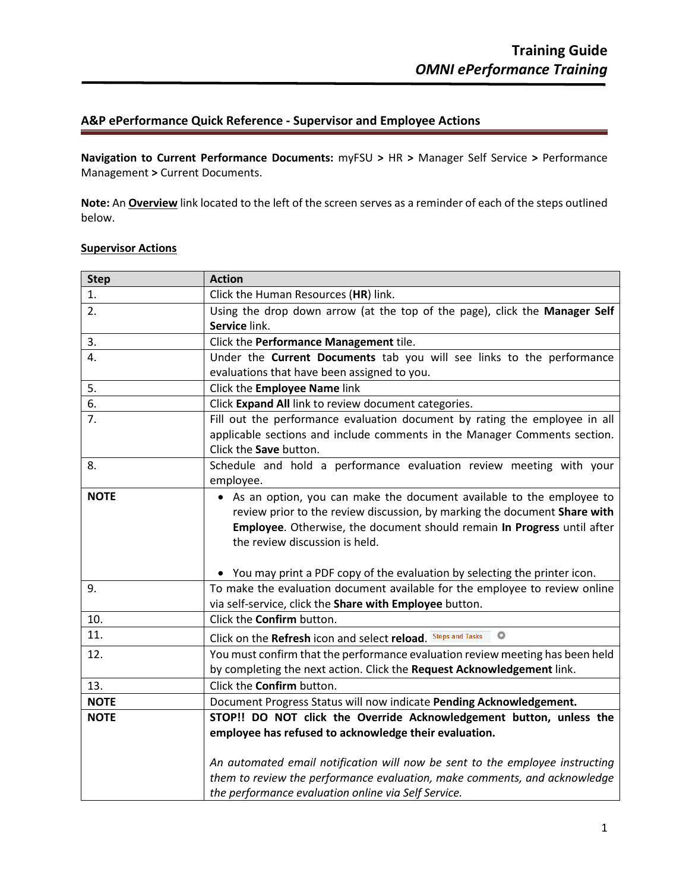# **A&P ePerformance Quick Reference - Supervisor and Employee Actions**

**Navigation to Current Performance Documents:** myFSU **>** HR **>** Manager Self Service **>** Performance Management **>** Current Documents.

**Note:** An **Overview** link located to the left of the screen serves as a reminder of each of the steps outlined below.

## **Supervisor Actions**

| <b>Step</b> | <b>Action</b>                                                                                                                                              |
|-------------|------------------------------------------------------------------------------------------------------------------------------------------------------------|
| 1.          | Click the Human Resources (HR) link.                                                                                                                       |
| 2.          | Using the drop down arrow (at the top of the page), click the Manager Self                                                                                 |
|             | Service link.                                                                                                                                              |
| 3.          | Click the Performance Management tile.                                                                                                                     |
| 4.          | Under the Current Documents tab you will see links to the performance                                                                                      |
|             | evaluations that have been assigned to you.                                                                                                                |
| 5.          | Click the Employee Name link                                                                                                                               |
| 6.          | Click Expand All link to review document categories.                                                                                                       |
| 7.          | Fill out the performance evaluation document by rating the employee in all                                                                                 |
|             | applicable sections and include comments in the Manager Comments section.                                                                                  |
|             | Click the Save button.                                                                                                                                     |
| 8.          | Schedule and hold a performance evaluation review meeting with your                                                                                        |
|             | employee.                                                                                                                                                  |
| <b>NOTE</b> | • As an option, you can make the document available to the employee to                                                                                     |
|             | review prior to the review discussion, by marking the document Share with                                                                                  |
|             | Employee. Otherwise, the document should remain In Progress until after                                                                                    |
|             | the review discussion is held.                                                                                                                             |
|             |                                                                                                                                                            |
| 9.          | • You may print a PDF copy of the evaluation by selecting the printer icon.<br>To make the evaluation document available for the employee to review online |
|             | via self-service, click the Share with Employee button.                                                                                                    |
| 10.         | Click the <b>Confirm</b> button.                                                                                                                           |
| 11.         | ۰<br>Click on the Refresh icon and select reload. Steps and Tasks                                                                                          |
| 12.         | You must confirm that the performance evaluation review meeting has been held                                                                              |
|             | by completing the next action. Click the Request Acknowledgement link.                                                                                     |
| 13.         | Click the <b>Confirm</b> button.                                                                                                                           |
| <b>NOTE</b> |                                                                                                                                                            |
| <b>NOTE</b> | Document Progress Status will now indicate Pending Acknowledgement.<br>STOP!! DO NOT click the Override Acknowledgement button, unless the                 |
|             | employee has refused to acknowledge their evaluation.                                                                                                      |
|             |                                                                                                                                                            |
|             | An automated email notification will now be sent to the employee instructing                                                                               |
|             | them to review the performance evaluation, make comments, and acknowledge                                                                                  |
|             | the performance evaluation online via Self Service.                                                                                                        |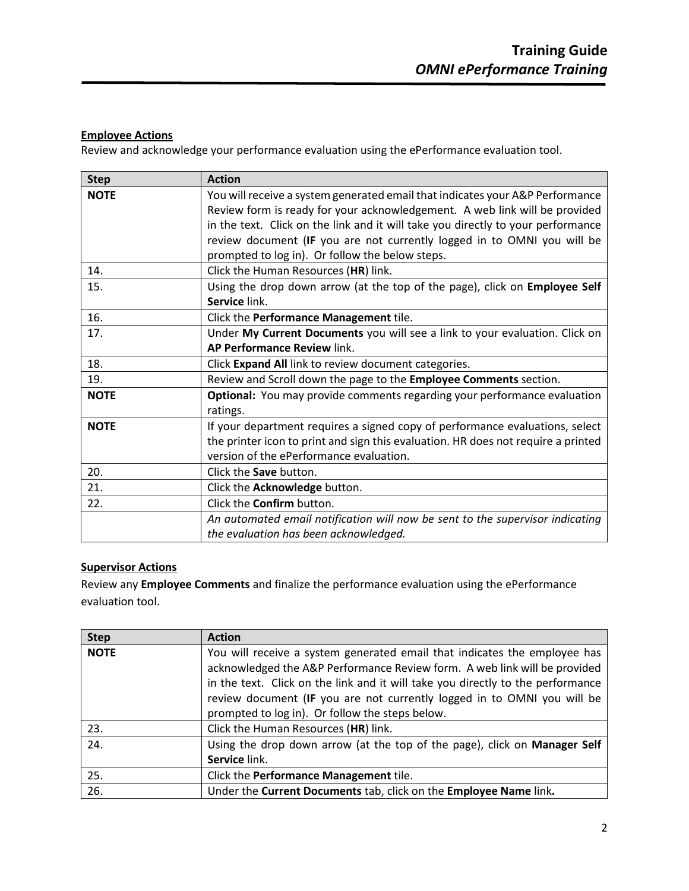### **Employee Actions**

Review and acknowledge your performance evaluation using the ePerformance evaluation tool.

| <b>Step</b> | <b>Action</b>                                                                                                                                                                                                                                                                                                                                                                 |
|-------------|-------------------------------------------------------------------------------------------------------------------------------------------------------------------------------------------------------------------------------------------------------------------------------------------------------------------------------------------------------------------------------|
| <b>NOTE</b> | You will receive a system generated email that indicates your A&P Performance<br>Review form is ready for your acknowledgement. A web link will be provided<br>in the text. Click on the link and it will take you directly to your performance<br>review document (IF you are not currently logged in to OMNI you will be<br>prompted to log in). Or follow the below steps. |
| 14.         | Click the Human Resources (HR) link.                                                                                                                                                                                                                                                                                                                                          |
| 15.         | Using the drop down arrow (at the top of the page), click on Employee Self<br>Service link.                                                                                                                                                                                                                                                                                   |
| 16.         | Click the Performance Management tile.                                                                                                                                                                                                                                                                                                                                        |
| 17.         | Under My Current Documents you will see a link to your evaluation. Click on<br>AP Performance Review link.                                                                                                                                                                                                                                                                    |
| 18.         | Click Expand All link to review document categories.                                                                                                                                                                                                                                                                                                                          |
| 19.         | Review and Scroll down the page to the Employee Comments section.                                                                                                                                                                                                                                                                                                             |
| <b>NOTE</b> | <b>Optional:</b> You may provide comments regarding your performance evaluation<br>ratings.                                                                                                                                                                                                                                                                                   |
| <b>NOTE</b> | If your department requires a signed copy of performance evaluations, select<br>the printer icon to print and sign this evaluation. HR does not require a printed<br>version of the ePerformance evaluation.                                                                                                                                                                  |
| 20.         | Click the <b>Save</b> button.                                                                                                                                                                                                                                                                                                                                                 |
| 21.         | Click the Acknowledge button.                                                                                                                                                                                                                                                                                                                                                 |
| 22.         | Click the <b>Confirm</b> button.                                                                                                                                                                                                                                                                                                                                              |
|             | An automated email notification will now be sent to the supervisor indicating<br>the evaluation has been acknowledged.                                                                                                                                                                                                                                                        |

#### **Supervisor Actions**

Review any **Employee Comments** and finalize the performance evaluation using the ePerformance evaluation tool.

| <b>Step</b> | <b>Action</b>                                                                                                                                          |
|-------------|--------------------------------------------------------------------------------------------------------------------------------------------------------|
| <b>NOTE</b> | You will receive a system generated email that indicates the employee has<br>acknowledged the A&P Performance Review form. A web link will be provided |
|             | in the text. Click on the link and it will take you directly to the performance                                                                        |
|             | review document (IF you are not currently logged in to OMNI you will be                                                                                |
|             | prompted to log in). Or follow the steps below.                                                                                                        |
| 23.         | Click the Human Resources (HR) link.                                                                                                                   |
| 24.         | Using the drop down arrow (at the top of the page), click on Manager Self                                                                              |
|             | Service link.                                                                                                                                          |
| 25.         | Click the Performance Management tile.                                                                                                                 |
| 26.         | Under the Current Documents tab, click on the Employee Name link.                                                                                      |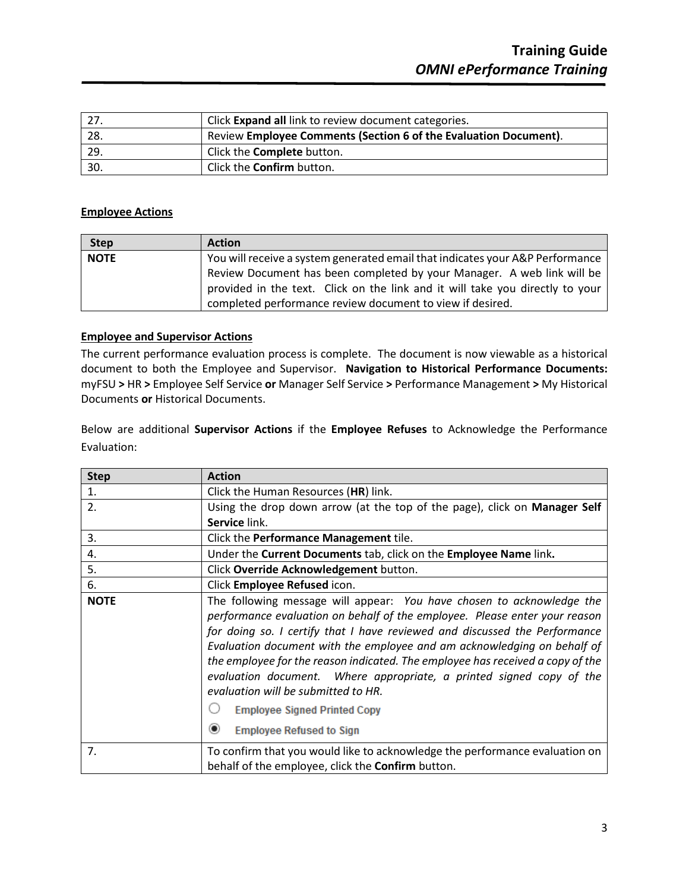|     | Click Expand all link to review document categories.             |
|-----|------------------------------------------------------------------|
| 28. | Review Employee Comments (Section 6 of the Evaluation Document). |
| 29. | Click the <b>Complete</b> button.                                |
| 30. | Click the <b>Confirm</b> button.                                 |

#### **Employee Actions**

| <b>Step</b> | <b>Action</b>                                                                 |
|-------------|-------------------------------------------------------------------------------|
| <b>NOTE</b> | You will receive a system generated email that indicates your A&P Performance |
|             | Review Document has been completed by your Manager. A web link will be        |
|             | provided in the text. Click on the link and it will take you directly to your |
|             | completed performance review document to view if desired.                     |

### **Employee and Supervisor Actions**

The current performance evaluation process is complete. The document is now viewable as a historical document to both the Employee and Supervisor. **Navigation to Historical Performance Documents:**  myFSU **>** HR **>** Employee Self Service **or** Manager Self Service **>** Performance Management **>** My Historical Documents **or** Historical Documents.

Below are additional **Supervisor Actions** if the **Employee Refuses** to Acknowledge the Performance Evaluation:

| <b>Step</b>    | <b>Action</b>                                                                                                                                                                                                                                                                                                                                                                                                                                                                                                                                                                                      |
|----------------|----------------------------------------------------------------------------------------------------------------------------------------------------------------------------------------------------------------------------------------------------------------------------------------------------------------------------------------------------------------------------------------------------------------------------------------------------------------------------------------------------------------------------------------------------------------------------------------------------|
| 1.             | Click the Human Resources (HR) link.                                                                                                                                                                                                                                                                                                                                                                                                                                                                                                                                                               |
| 2.             | Using the drop down arrow (at the top of the page), click on Manager Self                                                                                                                                                                                                                                                                                                                                                                                                                                                                                                                          |
|                | Service link.                                                                                                                                                                                                                                                                                                                                                                                                                                                                                                                                                                                      |
| 3.             | Click the Performance Management tile.                                                                                                                                                                                                                                                                                                                                                                                                                                                                                                                                                             |
| 4.             | Under the Current Documents tab, click on the Employee Name link.                                                                                                                                                                                                                                                                                                                                                                                                                                                                                                                                  |
| 5.             | Click Override Acknowledgement button.                                                                                                                                                                                                                                                                                                                                                                                                                                                                                                                                                             |
| 6.             | Click Employee Refused icon.                                                                                                                                                                                                                                                                                                                                                                                                                                                                                                                                                                       |
| <b>NOTE</b>    | The following message will appear: You have chosen to acknowledge the<br>performance evaluation on behalf of the employee. Please enter your reason<br>for doing so. I certify that I have reviewed and discussed the Performance<br>Evaluation document with the employee and am acknowledging on behalf of<br>the employee for the reason indicated. The employee has received a copy of the<br>evaluation document. Where appropriate, a printed signed copy of the<br>evaluation will be submitted to HR.<br><b>Employee Signed Printed Copy</b><br>$\odot$<br><b>Employee Refused to Sign</b> |
| 7 <sub>1</sub> | To confirm that you would like to acknowledge the performance evaluation on<br>behalf of the employee, click the <b>Confirm</b> button.                                                                                                                                                                                                                                                                                                                                                                                                                                                            |